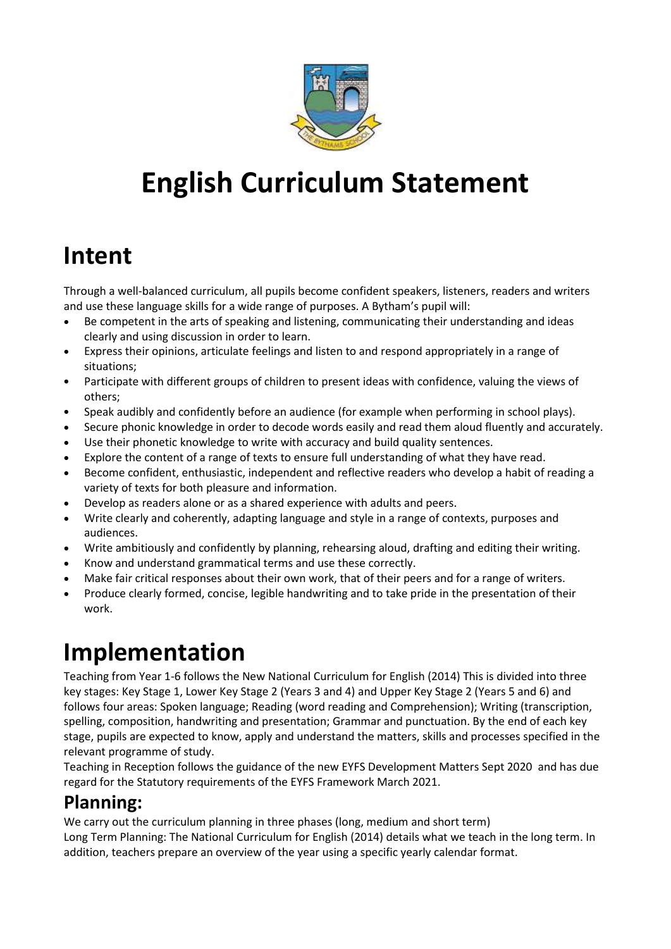

# **English Curriculum Statement**

## **Intent**

Through a well-balanced curriculum, all pupils become confident speakers, listeners, readers and writers and use these language skills for a wide range of purposes. A Bytham's pupil will:

- Be competent in the arts of speaking and listening, communicating their understanding and ideas clearly and using discussion in order to learn.
- Express their opinions, articulate feelings and listen to and respond appropriately in a range of situations;
- Participate with different groups of children to present ideas with confidence, valuing the views of others;
- Speak audibly and confidently before an audience (for example when performing in school plays).
- Secure phonic knowledge in order to decode words easily and read them aloud fluently and accurately.
- Use their phonetic knowledge to write with accuracy and build quality sentences.
- Explore the content of a range of texts to ensure full understanding of what they have read.
- Become confident, enthusiastic, independent and reflective readers who develop a habit of reading a variety of texts for both pleasure and information.
- Develop as readers alone or as a shared experience with adults and peers.
- Write clearly and coherently, adapting language and style in a range of contexts, purposes and audiences.
- Write ambitiously and confidently by planning, rehearsing aloud, drafting and editing their writing.
- Know and understand grammatical terms and use these correctly.
- Make fair critical responses about their own work, that of their peers and for a range of writers.
- Produce clearly formed, concise, legible handwriting and to take pride in the presentation of their work.

## **Implementation**

Teaching from Year 1-6 follows the New National Curriculum for English (2014) This is divided into three key stages: Key Stage 1, Lower Key Stage 2 (Years 3 and 4) and Upper Key Stage 2 (Years 5 and 6) and follows four areas: Spoken language; Reading (word reading and Comprehension); Writing (transcription, spelling, composition, handwriting and presentation; Grammar and punctuation. By the end of each key stage, pupils are expected to know, apply and understand the matters, skills and processes specified in the relevant programme of study.

Teaching in Reception follows the guidance of the new EYFS Development Matters Sept 2020 and has due regard for the Statutory requirements of the EYFS Framework March 2021.

## **Planning:**

We carry out the curriculum planning in three phases (long, medium and short term)

Long Term Planning: The National Curriculum for English (2014) details what we teach in the long term. In addition, teachers prepare an overview of the year using a specific yearly calendar format.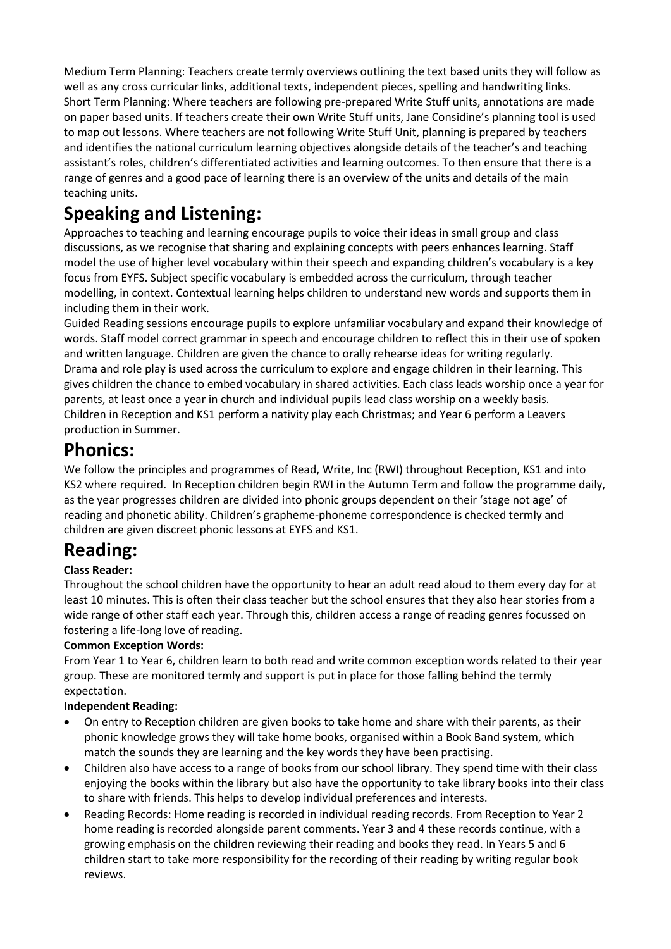Medium Term Planning: Teachers create termly overviews outlining the text based units they will follow as well as any cross curricular links, additional texts, independent pieces, spelling and handwriting links. Short Term Planning: Where teachers are following pre-prepared Write Stuff units, annotations are made on paper based units. If teachers create their own Write Stuff units, Jane Considine's planning tool is used to map out lessons. Where teachers are not following Write Stuff Unit, planning is prepared by teachers and identifies the national curriculum learning objectives alongside details of the teacher's and teaching assistant's roles, children's differentiated activities and learning outcomes. To then ensure that there is a range of genres and a good pace of learning there is an overview of the units and details of the main teaching units.

## **Speaking and Listening:**

Approaches to teaching and learning encourage pupils to voice their ideas in small group and class discussions, as we recognise that sharing and explaining concepts with peers enhances learning. Staff model the use of higher level vocabulary within their speech and expanding children's vocabulary is a key focus from EYFS. Subject specific vocabulary is embedded across the curriculum, through teacher modelling, in context. Contextual learning helps children to understand new words and supports them in including them in their work.

Guided Reading sessions encourage pupils to explore unfamiliar vocabulary and expand their knowledge of words. Staff model correct grammar in speech and encourage children to reflect this in their use of spoken and written language. Children are given the chance to orally rehearse ideas for writing regularly. Drama and role play is used across the curriculum to explore and engage children in their learning. This gives children the chance to embed vocabulary in shared activities. Each class leads worship once a year for parents, at least once a year in church and individual pupils lead class worship on a weekly basis. Children in Reception and KS1 perform a nativity play each Christmas; and Year 6 perform a Leavers production in Summer.

### **Phonics:**

We follow the principles and programmes of Read, Write, Inc (RWI) throughout Reception, KS1 and into KS2 where required. In Reception children begin RWI in the Autumn Term and follow the programme daily, as the year progresses children are divided into phonic groups dependent on their 'stage not age' of reading and phonetic ability. Children's grapheme-phoneme correspondence is checked termly and children are given discreet phonic lessons at EYFS and KS1.

## **Reading:**

#### **Class Reader:**

Throughout the school children have the opportunity to hear an adult read aloud to them every day for at least 10 minutes. This is often their class teacher but the school ensures that they also hear stories from a wide range of other staff each year. Through this, children access a range of reading genres focussed on fostering a life-long love of reading.

#### **Common Exception Words:**

From Year 1 to Year 6, children learn to both read and write common exception words related to their year group. These are monitored termly and support is put in place for those falling behind the termly expectation.

#### **Independent Reading:**

- On entry to Reception children are given books to take home and share with their parents, as their phonic knowledge grows they will take home books, organised within a Book Band system, which match the sounds they are learning and the key words they have been practising.
- Children also have access to a range of books from our school library. They spend time with their class enjoying the books within the library but also have the opportunity to take library books into their class to share with friends. This helps to develop individual preferences and interests.
- Reading Records: Home reading is recorded in individual reading records. From Reception to Year 2 home reading is recorded alongside parent comments. Year 3 and 4 these records continue, with a growing emphasis on the children reviewing their reading and books they read. In Years 5 and 6 children start to take more responsibility for the recording of their reading by writing regular book reviews.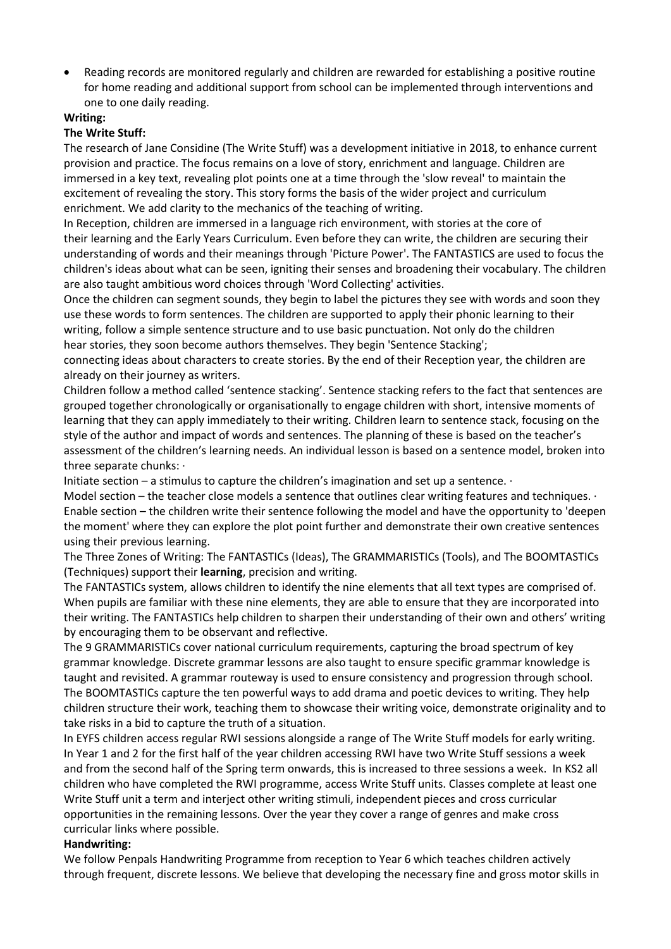• Reading records are monitored regularly and children are rewarded for establishing a positive routine for home reading and additional support from school can be implemented through interventions and one to one daily reading.

#### **Writing:**

#### **The Write Stuff:**

The research of Jane Considine (The Write Stuff) was a development initiative in 2018, to enhance current provision and practice. The focus remains on a love of story, enrichment and language. Children are immersed in a key text, revealing plot points one at a time through the 'slow reveal' to maintain the excitement of revealing the story. This story forms the basis of the wider project and curriculum enrichment. We add clarity to the mechanics of the teaching of writing.

In Reception, children are immersed in a language rich environment, with stories at the core of their learning and the Early Years Curriculum. Even before they can write, the children are securing their understanding of words and their meanings through 'Picture Power'. The FANTASTICS are used to focus the children's ideas about what can be seen, igniting their senses and broadening their vocabulary. The children are also taught ambitious word choices through 'Word Collecting' activities.

Once the children can segment sounds, they begin to label the pictures they see with words and soon they use these words to form sentences. The children are supported to apply their phonic learning to their writing, follow a simple sentence structure and to use basic punctuation. Not only do the children hear stories, they soon become authors themselves. They begin 'Sentence Stacking';

connecting ideas about characters to create stories. By the end of their Reception year, the children are already on their journey as writers.

Children follow a method called 'sentence stacking'. Sentence stacking refers to the fact that sentences are grouped together chronologically or organisationally to engage children with short, intensive moments of learning that they can apply immediately to their writing. Children learn to sentence stack, focusing on the style of the author and impact of words and sentences. The planning of these is based on the teacher's assessment of the children's learning needs. An individual lesson is based on a sentence model, broken into three separate chunks: ·

Initiate section – a stimulus to capture the children's imagination and set up a sentence.  $\cdot$ 

Model section – the teacher close models a sentence that outlines clear writing features and techniques. · Enable section – the children write their sentence following the model and have the opportunity to 'deepen the moment' where they can explore the plot point further and demonstrate their own creative sentences using their previous learning.

The Three Zones of Writing: The FANTASTICs (Ideas), The GRAMMARISTICs (Tools), and The BOOMTASTICs (Techniques) support their **learning**, precision and writing.

The FANTASTICs system, allows children to identify the nine elements that all text types are comprised of. When pupils are familiar with these nine elements, they are able to ensure that they are incorporated into their writing. The FANTASTICs help children to sharpen their understanding of their own and others' writing by encouraging them to be observant and reflective.

The 9 GRAMMARISTICs cover national curriculum requirements, capturing the broad spectrum of key grammar knowledge. Discrete grammar lessons are also taught to ensure specific grammar knowledge is taught and revisited. A grammar routeway is used to ensure consistency and progression through school. The BOOMTASTICs capture the ten powerful ways to add drama and poetic devices to writing. They help children structure their work, teaching them to showcase their writing voice, demonstrate originality and to take risks in a bid to capture the truth of a situation.

In EYFS children access regular RWI sessions alongside a range of The Write Stuff models for early writing. In Year 1 and 2 for the first half of the year children accessing RWI have two Write Stuff sessions a week and from the second half of the Spring term onwards, this is increased to three sessions a week. In KS2 all children who have completed the RWI programme, access Write Stuff units. Classes complete at least one Write Stuff unit a term and interject other writing stimuli, independent pieces and cross curricular opportunities in the remaining lessons. Over the year they cover a range of genres and make cross curricular links where possible.

#### **Handwriting:**

We follow Penpals Handwriting Programme from reception to Year 6 which teaches children actively through frequent, discrete lessons. We believe that developing the necessary fine and gross motor skills in